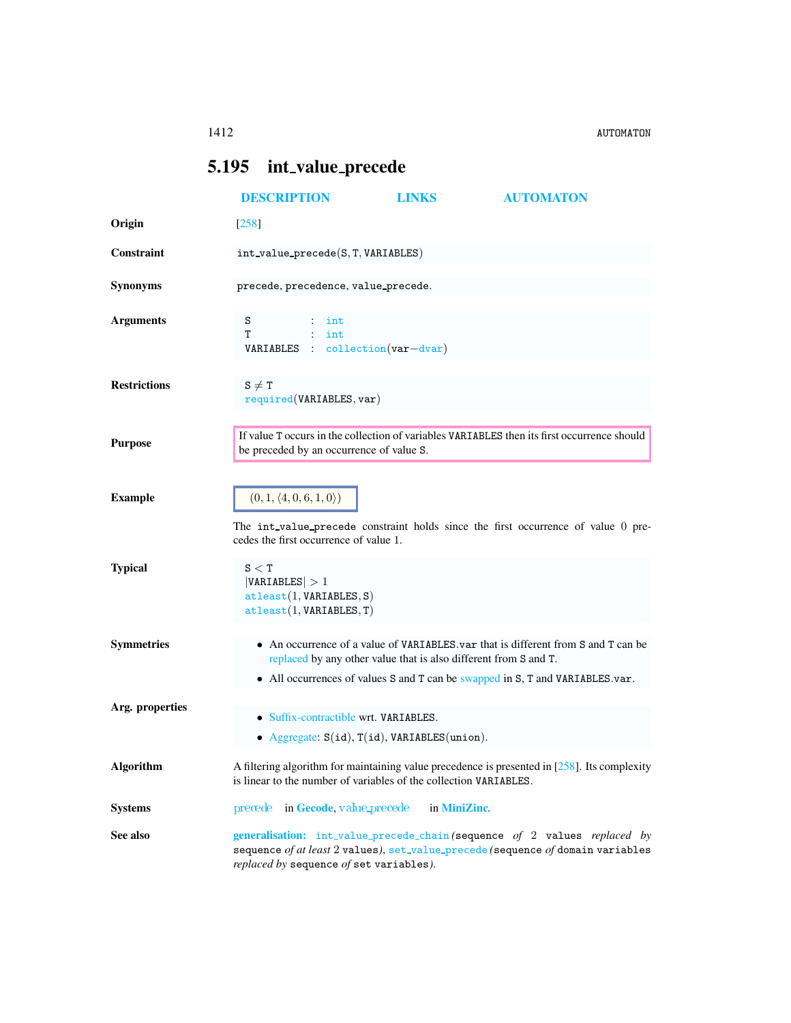## <span id="page-0-0"></span>5.195 int\_value\_precede

<span id="page-0-1"></span>

|                     | <b>DESCRIPTION</b>                                                                                                                                                                                                                     | <b>LINKS</b> | <b>AUTOMATON</b>                                                                  |
|---------------------|----------------------------------------------------------------------------------------------------------------------------------------------------------------------------------------------------------------------------------------|--------------|-----------------------------------------------------------------------------------|
| Origin              | $[258]$                                                                                                                                                                                                                                |              |                                                                                   |
| Constraint          | $int_value_p precede(S, T, VARIABLES)$                                                                                                                                                                                                 |              |                                                                                   |
| <b>Synonyms</b>     | precede, precedence, value_precede.                                                                                                                                                                                                    |              |                                                                                   |
| <b>Arguments</b>    | S<br>$:$ int<br>т<br>$:$ int<br>VARIABLES : collection (var-dvar)                                                                                                                                                                      |              |                                                                                   |
| <b>Restrictions</b> | $S \neq T$<br>required(VARIABLES, var)                                                                                                                                                                                                 |              |                                                                                   |
| <b>Purpose</b>      | If value T occurs in the collection of variables VARIABLES then its first occurrence should<br>be preceded by an occurrence of value S.                                                                                                |              |                                                                                   |
| <b>Example</b>      | $(0, 1, \langle 4, 0, 6, 1, 0 \rangle)$<br>cedes the first occurrence of value 1.                                                                                                                                                      |              | The int_value_precede constraint holds since the first occurrence of value 0 pre- |
| <b>Typical</b>      | S < T<br> VARIABLES  > 1<br>attleast(1, VARIABLES, S)<br>attleast(1, VARIABLES, T)                                                                                                                                                     |              |                                                                                   |
| <b>Symmetries</b>   | • An occurrence of a value of VARIABLES var that is different from S and T can be<br>replaced by any other value that is also different from S and T.<br>• All occurrences of values S and T can be swapped in S, T and VARIABLES.var. |              |                                                                                   |
| Arg. properties     | • Suffix-contractible wrt. VARIABLES.<br>• Aggregate: $S(id)$ , $T(id)$ , VARIABLES(union).                                                                                                                                            |              |                                                                                   |
| <b>Algorithm</b>    | A filtering algorithm for maintaining value precedence is presented in $[258]$ . Its complexity<br>is linear to the number of variables of the collection VARIABLES.                                                                   |              |                                                                                   |
| <b>Systems</b>      | precede in Gecode, value precede                                                                                                                                                                                                       | in MiniZinc. |                                                                                   |
| See also            | generalisation: int_value_precede_chain(sequence of 2 values replaced by<br>sequence of at least 2 values), set_value_precede (sequence of domain variables<br>replaced by sequence of set variables).                                 |              |                                                                                   |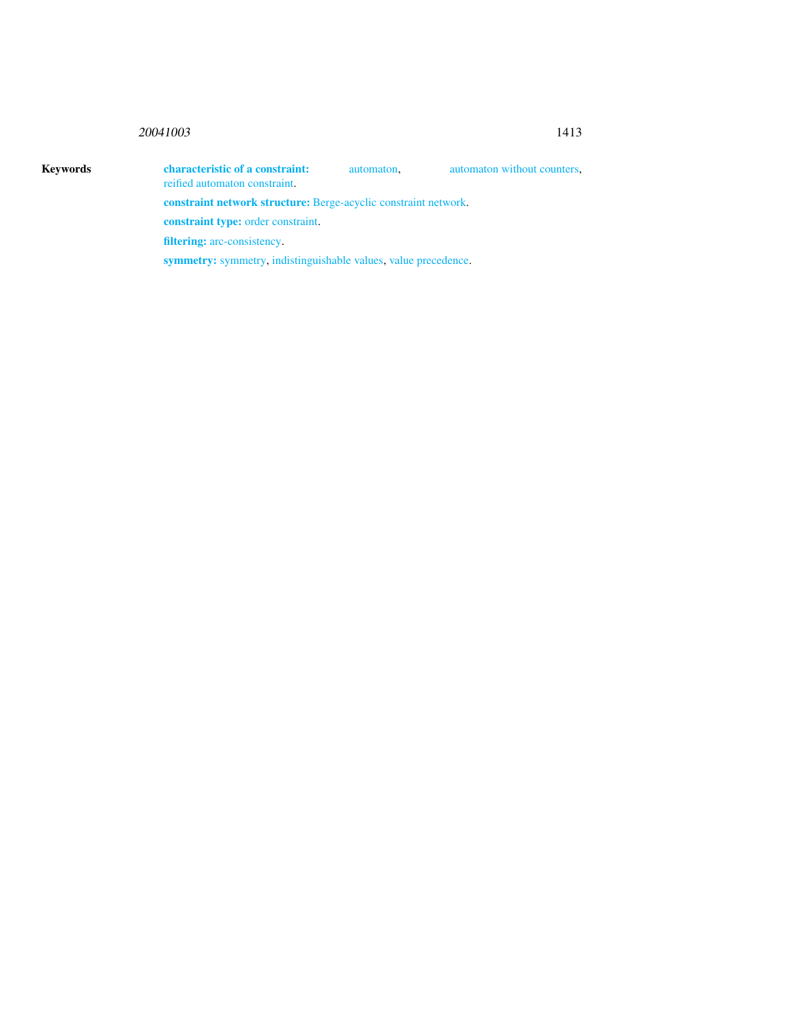## <sup>20041003</sup> 1413

Keywords characteristic of a constraint: automaton, automaton without counters, reified automaton constraint. constraint network structure: Berge-acyclic constraint network. constraint type: order constraint. filtering: arc-consistency.

symmetry: symmetry, indistinguishable values, value precedence.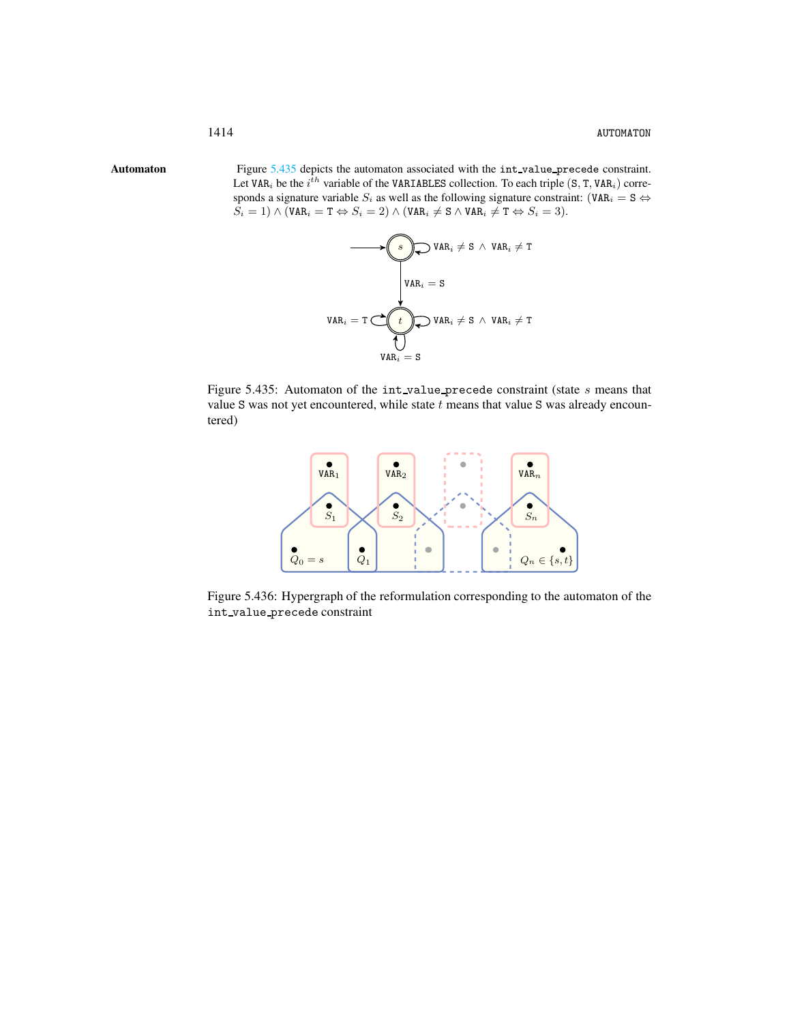Automaton Figure [5.435](#page-2-1) depicts the automaton associated with the int\_value\_precede constraint. Let VAR<sub>i</sub> be the  $i^{\hat{t}h}$  variable of the VARIABLES collection. To each triple (S, T, VAR<sub>i</sub>) corresponds a signature variable  $S_i$  as well as the following signature constraint: (VAR<sub>i</sub> = S  $\Leftrightarrow$  $S_i = 1) \wedge (\texttt{VAR}_i = \texttt{T} \Leftrightarrow S_i = 2) \wedge (\texttt{VAR}_i \neq \texttt{S} \wedge \texttt{VAR}_i \neq \texttt{T} \Leftrightarrow S_i = 3).$ 

<span id="page-2-0"></span>

Figure 5.435: Automaton of the int\_value\_precede constraint (state s means that value S was not yet encountered, while state  $t$  means that value S was already encountered)

<span id="page-2-1"></span>

Figure 5.436: Hypergraph of the reformulation corresponding to the automaton of the int value precede constraint